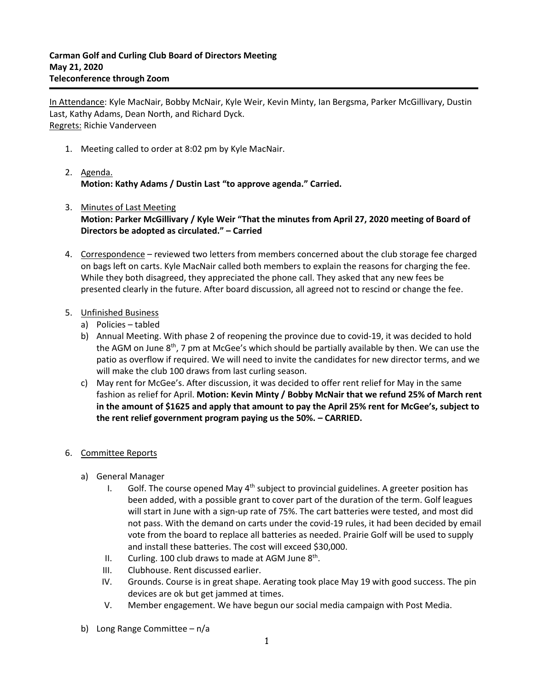In Attendance: Kyle MacNair, Bobby McNair, Kyle Weir, Kevin Minty, Ian Bergsma, Parker McGillivary, Dustin Last, Kathy Adams, Dean North, and Richard Dyck. Regrets: Richie Vanderveen

- 1. Meeting called to order at 8:02 pm by Kyle MacNair.
- 2. Agenda. **Motion: Kathy Adams / Dustin Last "to approve agenda." Carried.**
- 3. Minutes of Last Meeting **Motion: Parker McGillivary / Kyle Weir "That the minutes from April 27, 2020 meeting of Board of Directors be adopted as circulated." – Carried**
- 4. Correspondence reviewed two letters from members concerned about the club storage fee charged on bags left on carts. Kyle MacNair called both members to explain the reasons for charging the fee. While they both disagreed, they appreciated the phone call. They asked that any new fees be presented clearly in the future. After board discussion, all agreed not to rescind or change the fee.
- 5. Unfinished Business
	- a) Policies tabled
	- b) Annual Meeting. With phase 2 of reopening the province due to covid-19, it was decided to hold the AGM on June 8<sup>th</sup>, 7 pm at McGee's which should be partially available by then. We can use the patio as overflow if required. We will need to invite the candidates for new director terms, and we will make the club 100 draws from last curling season.
	- c) May rent for McGee's. After discussion, it was decided to offer rent relief for May in the same fashion as relief for April. **Motion: Kevin Minty / Bobby McNair that we refund 25% of March rent in the amount of \$1625 and apply that amount to pay the April 25% rent for McGee's, subject to the rent relief government program paying us the 50%. – CARRIED.**
- 6. Committee Reports
	- a) General Manager
		- I. Golf. The course opened May  $4<sup>th</sup>$  subject to provincial guidelines. A greeter position has been added, with a possible grant to cover part of the duration of the term. Golf leagues will start in June with a sign-up rate of 75%. The cart batteries were tested, and most did not pass. With the demand on carts under the covid-19 rules, it had been decided by email vote from the board to replace all batteries as needed. Prairie Golf will be used to supply and install these batteries. The cost will exceed \$30,000.
		- II. Curling. 100 club draws to made at AGM June 8<sup>th</sup>.
		- III. Clubhouse. Rent discussed earlier.
		- IV. Grounds. Course is in great shape. Aerating took place May 19 with good success. The pin devices are ok but get jammed at times.
		- V. Member engagement. We have begun our social media campaign with Post Media.
	- b) Long Range Committee n/a